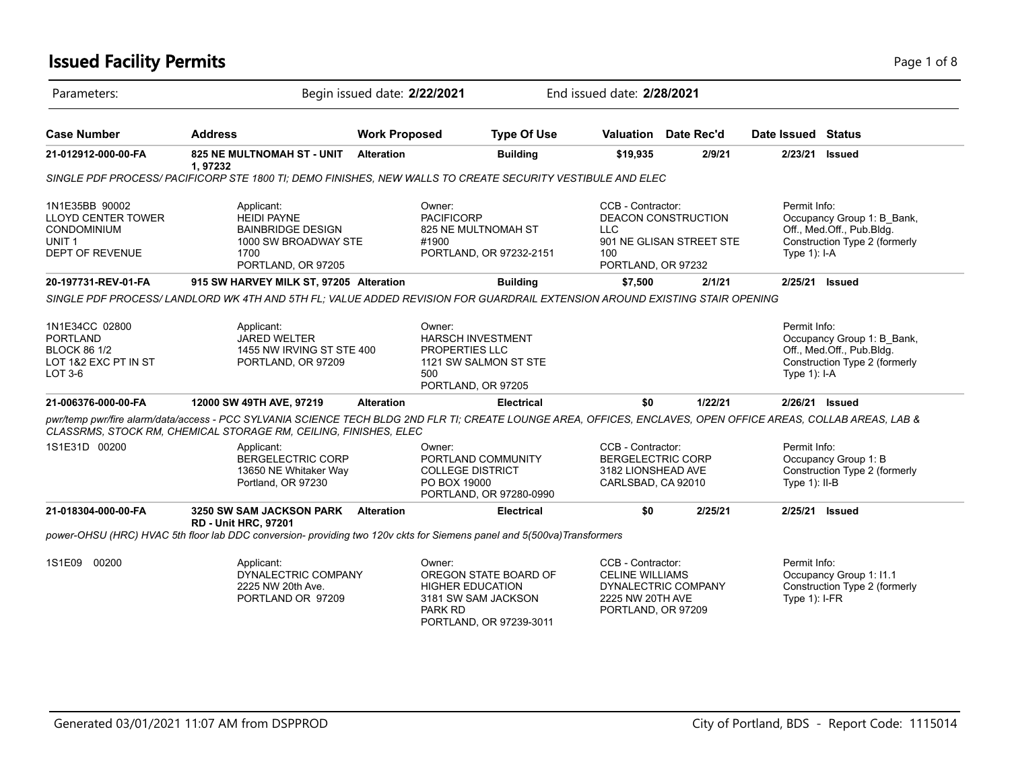# **Issued Facility Permits** Page 1 of 8

| Parameters:                                                                                        |                                                                                                                                                                                                                                    | Begin issued date: 2/22/2021 |                                                                                                                                | End issued date: 2/28/2021                     |                                                                                                              |                                                                                                                 |         |                                                                                                                          |                                                                                          |
|----------------------------------------------------------------------------------------------------|------------------------------------------------------------------------------------------------------------------------------------------------------------------------------------------------------------------------------------|------------------------------|--------------------------------------------------------------------------------------------------------------------------------|------------------------------------------------|--------------------------------------------------------------------------------------------------------------|-----------------------------------------------------------------------------------------------------------------|---------|--------------------------------------------------------------------------------------------------------------------------|------------------------------------------------------------------------------------------|
| <b>Case Number</b>                                                                                 | <b>Address</b>                                                                                                                                                                                                                     | <b>Work Proposed</b>         |                                                                                                                                | <b>Type Of Use</b>                             | <b>Valuation</b> Date Rec'd                                                                                  |                                                                                                                 |         | Date Issued Status                                                                                                       |                                                                                          |
| 21-012912-000-00-FA                                                                                | <b>825 NE MULTNOMAH ST - UNIT</b><br>1,97232                                                                                                                                                                                       | <b>Alteration</b>            |                                                                                                                                | <b>Building</b>                                | \$19,935                                                                                                     |                                                                                                                 | 2/9/21  | 2/23/21                                                                                                                  | Issued                                                                                   |
|                                                                                                    | SINGLE PDF PROCESS/ PACIFICORP STE 1800 TI; DEMO FINISHES, NEW WALLS TO CREATE SECURITY VESTIBULE AND ELEC                                                                                                                         |                              |                                                                                                                                |                                                |                                                                                                              |                                                                                                                 |         |                                                                                                                          |                                                                                          |
| 1N1E35BB 90002<br><b>LLOYD CENTER TOWER</b><br>CONDOMINIUM<br>UNIT 1<br><b>DEPT OF REVENUE</b>     | Applicant:<br><b>HEIDI PAYNE</b><br><b>BAINBRIDGE DESIGN</b><br>1000 SW BROADWAY STE<br>1700<br>PORTLAND, OR 97205                                                                                                                 |                              | Owner:<br><b>PACIFICORP</b><br>#1900                                                                                           | 825 NE MULTNOMAH ST<br>PORTLAND, OR 97232-2151 |                                                                                                              | CCB - Contractor:<br><b>DEACON CONSTRUCTION</b><br>LLC<br>901 NE GLISAN STREET STE<br>100<br>PORTLAND, OR 97232 |         | Permit Info:<br>Occupancy Group 1: B Bank,<br>Off., Med.Off., Pub.Bldg.<br>Construction Type 2 (formerly<br>Type 1): I-A |                                                                                          |
| 20-197731-REV-01-FA                                                                                | 915 SW HARVEY MILK ST, 97205 Alteration                                                                                                                                                                                            |                              |                                                                                                                                | <b>Building</b>                                | \$7,500                                                                                                      |                                                                                                                 | 2/1/21  | 2/25/21                                                                                                                  | Issued                                                                                   |
|                                                                                                    | SINGLE PDF PROCESS/LANDLORD WK 4TH AND 5TH FL: VALUE ADDED REVISION FOR GUARDRAIL EXTENSION AROUND EXISTING STAIR OPENING                                                                                                          |                              |                                                                                                                                |                                                |                                                                                                              |                                                                                                                 |         |                                                                                                                          |                                                                                          |
| 1N1E34CC 02800<br><b>PORTLAND</b><br><b>BLOCK 86 1/2</b><br>LOT 1&2 EXC PT IN ST<br><b>LOT 3-6</b> | Applicant:<br><b>JARED WELTER</b><br>1455 NW IRVING ST STE 400<br>PORTLAND, OR 97209                                                                                                                                               |                              | Owner:<br><b>HARSCH INVESTMENT</b><br>PROPERTIES LLC<br>1121 SW SALMON ST STE<br>500<br>PORTLAND, OR 97205                     |                                                |                                                                                                              |                                                                                                                 |         | Permit Info:<br>Type $1$ : I-A                                                                                           | Occupancy Group 1: B Bank,<br>Off., Med.Off., Pub.Bldg.<br>Construction Type 2 (formerly |
| 21-006376-000-00-FA                                                                                | 12000 SW 49TH AVE, 97219                                                                                                                                                                                                           | <b>Alteration</b>            |                                                                                                                                | <b>Electrical</b>                              | \$0                                                                                                          |                                                                                                                 | 1/22/21 | 2/26/21 Issued                                                                                                           |                                                                                          |
|                                                                                                    | pwr/temp pwr/fire alarm/data/access - PCC SYLVANIA SCIENCE TECH BLDG 2ND FLR TI; CREATE LOUNGE AREA, OFFICES, ENCLAVES, OPEN OFFICE AREAS, COLLAB AREAS, LAB &<br>CLASSRMS, STOCK RM, CHEMICAL STORAGE RM, CEILING, FINISHES, ELEC |                              |                                                                                                                                |                                                |                                                                                                              |                                                                                                                 |         |                                                                                                                          |                                                                                          |
| 1S1E31D 00200                                                                                      | Applicant:<br><b>BERGELECTRIC CORP</b><br>13650 NE Whitaker Way<br>Portland, OR 97230                                                                                                                                              |                              | Owner:<br>PORTLAND COMMUNITY<br><b>COLLEGE DISTRICT</b><br>PO BOX 19000<br>PORTLAND, OR 97280-0990                             |                                                | CCB - Contractor:<br><b>BERGELECTRIC CORP</b><br>3182 LIONSHEAD AVE<br>CARLSBAD, CA 92010                    |                                                                                                                 |         | Permit Info:<br>Type $1$ ): II-B                                                                                         | Occupancy Group 1: B<br>Construction Type 2 (formerly                                    |
| 21-018304-000-00-FA                                                                                | <b>3250 SW SAM JACKSON PARK</b><br><b>RD - Unit HRC, 97201</b>                                                                                                                                                                     | <b>Alteration</b>            |                                                                                                                                | <b>Electrical</b>                              | \$0                                                                                                          |                                                                                                                 | 2/25/21 | 2/25/21                                                                                                                  | <b>Issued</b>                                                                            |
|                                                                                                    | power-OHSU (HRC) HVAC 5th floor lab DDC conversion- providing two 120v ckts for Siemens panel and 5(500va) Transformers                                                                                                            |                              |                                                                                                                                |                                                |                                                                                                              |                                                                                                                 |         |                                                                                                                          |                                                                                          |
| 1S1E09 00200                                                                                       | Applicant:<br>DYNALECTRIC COMPANY<br>2225 NW 20th Ave.<br>PORTLAND OR 97209                                                                                                                                                        |                              | Owner:<br>OREGON STATE BOARD OF<br><b>HIGHER EDUCATION</b><br>3181 SW SAM JACKSON<br><b>PARK RD</b><br>PORTLAND, OR 97239-3011 |                                                | CCB - Contractor:<br><b>CELINE WILLIAMS</b><br>DYNALECTRIC COMPANY<br>2225 NW 20TH AVE<br>PORTLAND, OR 97209 |                                                                                                                 |         | Permit Info:<br>Type $1$ ): I-FR                                                                                         | Occupancy Group 1: I1.1<br>Construction Type 2 (formerly                                 |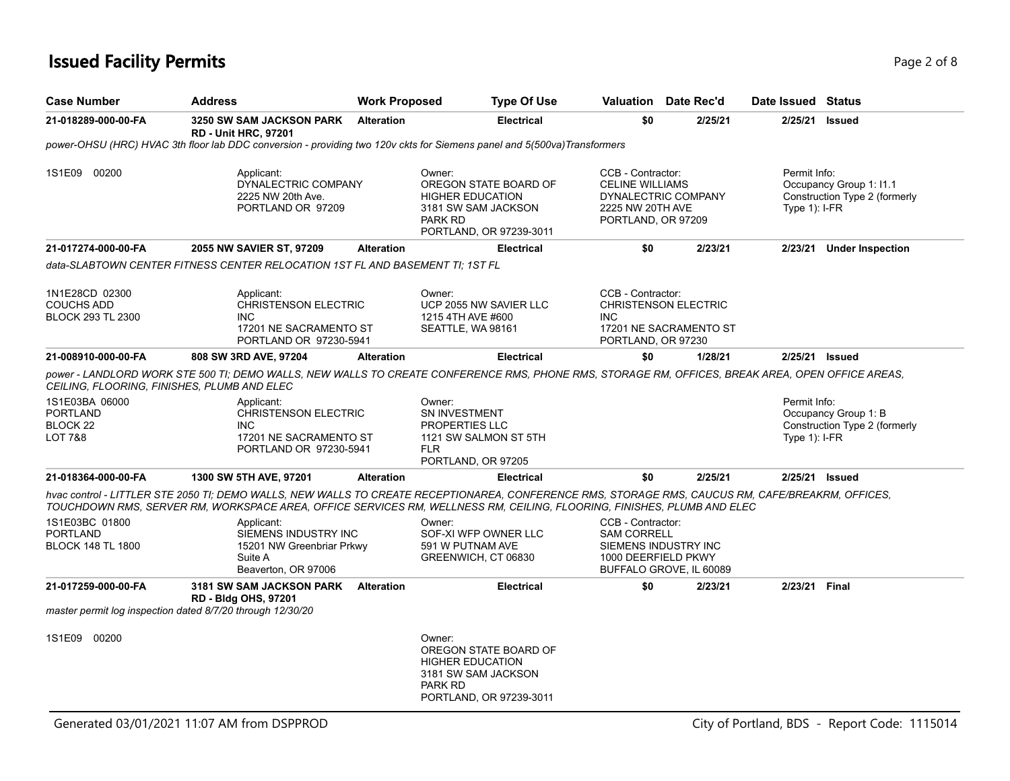# **Issued Facility Permits** Page 2 of 8

| <b>Case Number</b>                                                                | <b>Address</b>                                                                                              | <b>Work Proposed</b>                                                            | <b>Type Of Use</b>                                                                                                                                                                                                                                                          | Valuation                                                                                               | Date Rec'd                                      | Date Issued Status                                                                          |                                                       |  |
|-----------------------------------------------------------------------------------|-------------------------------------------------------------------------------------------------------------|---------------------------------------------------------------------------------|-----------------------------------------------------------------------------------------------------------------------------------------------------------------------------------------------------------------------------------------------------------------------------|---------------------------------------------------------------------------------------------------------|-------------------------------------------------|---------------------------------------------------------------------------------------------|-------------------------------------------------------|--|
| 21-018289-000-00-FA                                                               | <b>3250 SW SAM JACKSON PARK</b><br><b>RD - Unit HRC, 97201</b>                                              | <b>Alteration</b>                                                               | <b>Electrical</b>                                                                                                                                                                                                                                                           | \$0                                                                                                     | 2/25/21                                         | 2/25/21                                                                                     | <b>Issued</b>                                         |  |
|                                                                                   |                                                                                                             |                                                                                 | power-OHSU (HRC) HVAC 3th floor lab DDC conversion - providing two 120v ckts for Siemens panel and 5(500va)Transformers                                                                                                                                                     |                                                                                                         |                                                 |                                                                                             |                                                       |  |
| 1S1E09 00200                                                                      | Applicant:<br>DYNALECTRIC COMPANY<br>2225 NW 20th Ave.<br>PORTLAND OR 97209                                 |                                                                                 | Owner:<br>OREGON STATE BOARD OF<br><b>HIGHER EDUCATION</b><br>3181 SW SAM JACKSON<br><b>PARK RD</b><br>PORTLAND, OR 97239-3011                                                                                                                                              | CCB - Contractor:<br><b>CELINE WILLIAMS</b><br>2225 NW 20TH AVE<br>PORTLAND, OR 97209                   | DYNALECTRIC COMPANY                             | Permit Info:<br>Occupancy Group 1: I1.1<br>Construction Type 2 (formerly<br>Type $1$ : I-FR |                                                       |  |
| 21-017274-000-00-FA                                                               | 2055 NW SAVIER ST, 97209                                                                                    | <b>Alteration</b>                                                               | <b>Electrical</b>                                                                                                                                                                                                                                                           | \$0                                                                                                     | 2/23/21                                         |                                                                                             | 2/23/21 Under Inspection                              |  |
|                                                                                   | data-SLABTOWN CENTER FITNESS CENTER RELOCATION 1ST FL AND BASEMENT TI: 1ST FL                               |                                                                                 |                                                                                                                                                                                                                                                                             |                                                                                                         |                                                 |                                                                                             |                                                       |  |
| 1N1E28CD 02300<br><b>COUCHS ADD</b><br><b>BLOCK 293 TL 2300</b>                   | Applicant:<br>INC.                                                                                          | <b>CHRISTENSON ELECTRIC</b><br>17201 NE SACRAMENTO ST<br>PORTLAND OR 97230-5941 |                                                                                                                                                                                                                                                                             | CCB - Contractor:<br>CHRISTENSON ELECTRIC<br><b>INC</b><br>17201 NE SACRAMENTO ST<br>PORTLAND, OR 97230 |                                                 |                                                                                             |                                                       |  |
| 21-008910-000-00-FA                                                               | 808 SW 3RD AVE, 97204                                                                                       | <b>Alteration</b>                                                               | <b>Electrical</b>                                                                                                                                                                                                                                                           | \$0                                                                                                     | 1/28/21                                         | 2/25/21 Issued                                                                              |                                                       |  |
| CEILING, FLOORING, FINISHES, PLUMB AND ELEC                                       |                                                                                                             |                                                                                 | DOWER - LANDLORD WORK STE 500 TI; DEMO WALLS, NEW WALLS TO CREATE CONFERENCE RMS, PHONE RMS, STORAGE RM, OFFICES, BREAK AREA, OPEN OFFICE AREAS,                                                                                                                            |                                                                                                         |                                                 |                                                                                             |                                                       |  |
| 1S1E03BA 06000<br><b>PORTLAND</b><br>BLOCK 22<br>LOT 7&8                          | Applicant:<br><b>CHRISTENSON ELECTRIC</b><br><b>INC</b><br>17201 NE SACRAMENTO ST<br>PORTLAND OR 97230-5941 |                                                                                 | Owner:<br>SN INVESTMENT<br>PROPERTIES LLC<br>1121 SW SALMON ST 5TH<br><b>FLR</b><br>PORTLAND, OR 97205                                                                                                                                                                      |                                                                                                         |                                                 | Permit Info:<br>Type $1$ : I-FR                                                             | Occupancy Group 1: B<br>Construction Type 2 (formerly |  |
| 21-018364-000-00-FA                                                               | 1300 SW 5TH AVE, 97201                                                                                      | <b>Alteration</b>                                                               | <b>Electrical</b>                                                                                                                                                                                                                                                           | \$0                                                                                                     | 2/25/21                                         | 2/25/21 Issued                                                                              |                                                       |  |
|                                                                                   |                                                                                                             |                                                                                 | hvac control - LITTLER STE 2050 TI; DEMO WALLS, NEW WALLS TO CREATE RECEPTIONAREA, CONFERENCE RMS, STORAGE RMS, CAUCUS RM, CAFE/BREAKRM, OFFICES,<br>TOUCHDOWN RMS, SERVER RM, WORKSPACE AREA, OFFICE SERVICES RM, WELLNESS RM, CEILING, FLOORING, FINISHES, PLUMB AND ELEC |                                                                                                         |                                                 |                                                                                             |                                                       |  |
| 1S1E03BC 01800<br>PORTLAND<br><b>BLOCK 148 TL 1800</b>                            | Applicant:<br>SIEMENS INDUSTRY INC<br>15201 NW Greenbriar Prkwy<br>Suite A<br>Beaverton, OR 97006           |                                                                                 | Owner:<br>SOF-XI WFP OWNER LLC<br>591 W PUTNAM AVE<br>GREENWICH, CT 06830                                                                                                                                                                                                   | CCB - Contractor:<br><b>SAM CORRELL</b><br>1000 DEERFIELD PKWY                                          | SIEMENS INDUSTRY INC<br>BUFFALO GROVE, IL 60089 |                                                                                             |                                                       |  |
| 21-017259-000-00-FA<br>master permit log inspection dated 8/7/20 through 12/30/20 | 3181 SW SAM JACKSON PARK<br><b>RD - Bldg OHS, 97201</b>                                                     | <b>Alteration</b>                                                               | <b>Electrical</b>                                                                                                                                                                                                                                                           | \$0                                                                                                     | 2/23/21                                         | 2/23/21 Final                                                                               |                                                       |  |
| 1S1E09 00200                                                                      |                                                                                                             |                                                                                 | Owner:<br>OREGON STATE BOARD OF<br><b>HIGHER EDUCATION</b><br>3181 SW SAM JACKSON<br><b>PARK RD</b><br>PORTLAND, OR 97239-3011                                                                                                                                              |                                                                                                         |                                                 |                                                                                             |                                                       |  |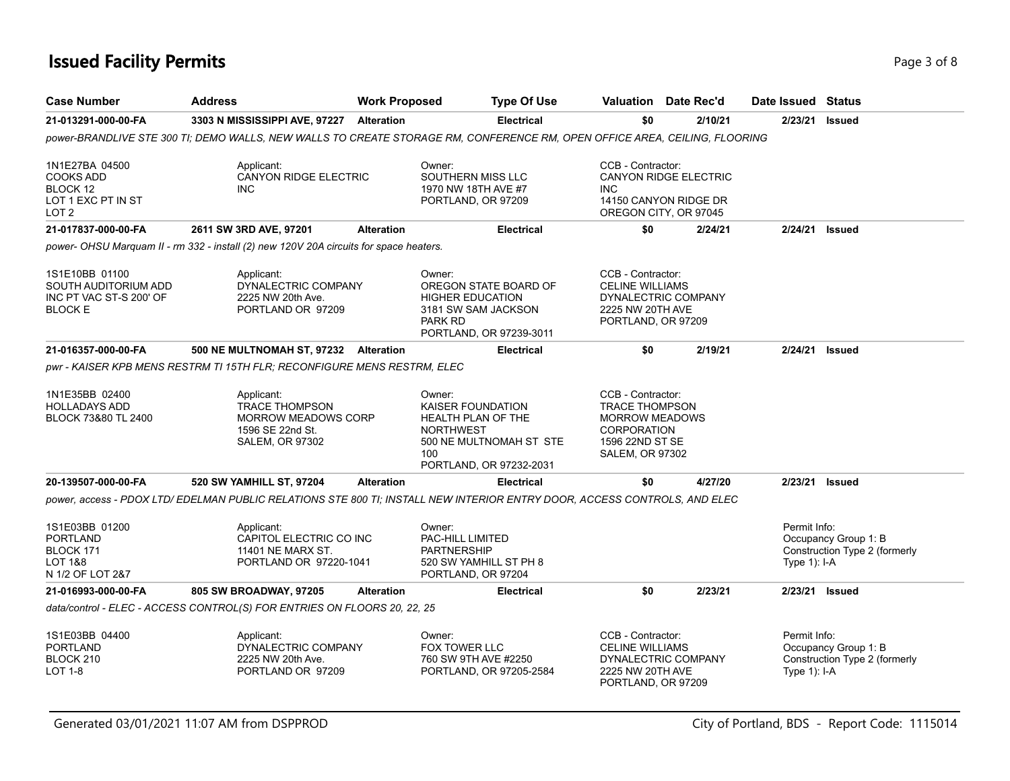# **Issued Facility Permits** Page 3 of 8

| <b>Case Number</b>                                                                       | <b>Address</b>                                                                                                             | <b>Work Proposed</b> |                                                                          | <b>Type Of Use</b>                                                              |                                                                                                                                        | <b>Valuation</b> Date Rec'd                                                    | Date Issued Status             |                                                       |
|------------------------------------------------------------------------------------------|----------------------------------------------------------------------------------------------------------------------------|----------------------|--------------------------------------------------------------------------|---------------------------------------------------------------------------------|----------------------------------------------------------------------------------------------------------------------------------------|--------------------------------------------------------------------------------|--------------------------------|-------------------------------------------------------|
| 21-013291-000-00-FA                                                                      | 3303 N MISSISSIPPI AVE, 97227 Alteration                                                                                   |                      |                                                                          | Electrical                                                                      | \$0                                                                                                                                    | 2/10/21                                                                        | 2/23/21                        | <b>Issued</b>                                         |
|                                                                                          | power-BRANDLIVE STE 300 TI; DEMO WALLS, NEW WALLS TO CREATE STORAGE RM, CONFERENCE RM, OPEN OFFICE AREA, CEILING, FLOORING |                      |                                                                          |                                                                                 |                                                                                                                                        |                                                                                |                                |                                                       |
| 1N1E27BA 04500<br><b>COOKS ADD</b><br>BLOCK 12<br>LOT 1 EXC PT IN ST<br>LOT <sub>2</sub> | Applicant:<br><b>CANYON RIDGE ELECTRIC</b><br><b>INC</b>                                                                   |                      | Owner:<br>SOUTHERN MISS LLC<br>1970 NW 18TH AVE #7<br>PORTLAND, OR 97209 |                                                                                 | CCB - Contractor:<br><b>INC</b>                                                                                                        | <b>CANYON RIDGE ELECTRIC</b><br>14150 CANYON RIDGE DR<br>OREGON CITY, OR 97045 |                                |                                                       |
| 21-017837-000-00-FA                                                                      | 2611 SW 3RD AVE, 97201                                                                                                     | <b>Alteration</b>    |                                                                          | <b>Electrical</b>                                                               | \$0                                                                                                                                    | 2/24/21                                                                        |                                | 2/24/21 <b>Issued</b>                                 |
|                                                                                          | power- OHSU Marquam II - rm 332 - install (2) new 120V 20A circuits for space heaters.                                     |                      |                                                                          |                                                                                 |                                                                                                                                        |                                                                                |                                |                                                       |
| 1S1E10BB 01100<br>SOUTH AUDITORIUM ADD<br>INC PT VAC ST-S 200' OF<br><b>BLOCK E</b>      | Applicant:<br>DYNALECTRIC COMPANY<br>2225 NW 20th Ave.<br>PORTLAND OR 97209                                                |                      | Owner:<br><b>HIGHER EDUCATION</b><br>PARK RD                             | OREGON STATE BOARD OF<br>3181 SW SAM JACKSON<br>PORTLAND, OR 97239-3011         | CCB - Contractor:<br><b>CELINE WILLIAMS</b><br>2225 NW 20TH AVE<br>PORTLAND, OR 97209                                                  | DYNALECTRIC COMPANY                                                            |                                |                                                       |
| 21-016357-000-00-FA                                                                      | 500 NE MULTNOMAH ST, 97232 Alteration                                                                                      |                      |                                                                          | <b>Electrical</b>                                                               | \$0                                                                                                                                    | 2/19/21                                                                        | 2/24/21                        | <b>Issued</b>                                         |
|                                                                                          | pwr - KAISER KPB MENS RESTRM TI 15TH FLR; RECONFIGURE MENS RESTRM, ELEC                                                    |                      |                                                                          |                                                                                 |                                                                                                                                        |                                                                                |                                |                                                       |
| 1N1E35BB 02400<br><b>HOLLADAYS ADD</b><br>BLOCK 73&80 TL 2400                            | Applicant:<br><b>TRACE THOMPSON</b><br><b>MORROW MEADOWS CORP</b><br>1596 SE 22nd St.<br>SALEM, OR 97302                   |                      | Owner:<br><b>KAISER FOUNDATION</b><br><b>NORTHWEST</b><br>100            | <b>HEALTH PLAN OF THE</b><br>500 NE MULTNOMAH ST STE<br>PORTLAND, OR 97232-2031 | CCB - Contractor:<br><b>TRACE THOMPSON</b><br><b>MORROW MEADOWS</b><br><b>CORPORATION</b><br>1596 22ND ST SE<br><b>SALEM, OR 97302</b> |                                                                                |                                |                                                       |
| 20-139507-000-00-FA                                                                      | 520 SW YAMHILL ST, 97204                                                                                                   | <b>Alteration</b>    |                                                                          | <b>Electrical</b>                                                               | \$0                                                                                                                                    | 4/27/20                                                                        | 2/23/21                        | Issued                                                |
|                                                                                          | power, access - PDOX LTD/ EDELMAN PUBLIC RELATIONS STE 800 TI; INSTALL NEW INTERIOR ENTRY DOOR, ACCESS CONTROLS, AND ELEC  |                      |                                                                          |                                                                                 |                                                                                                                                        |                                                                                |                                |                                                       |
| 1S1E03BB 01200<br><b>PORTLAND</b><br>BLOCK 171<br>LOT 1&8<br>N 1/2 OF LOT 2&7            | Applicant:<br>CAPITOL ELECTRIC CO INC<br>11401 NE MARX ST.<br>PORTLAND OR 97220-1041                                       |                      | Owner:<br>PAC-HILL LIMITED<br><b>PARTNERSHIP</b><br>PORTLAND, OR 97204   | 520 SW YAMHILL ST PH 8                                                          |                                                                                                                                        |                                                                                | Permit Info:<br>Type 1): I-A   | Occupancy Group 1: B<br>Construction Type 2 (formerly |
| 21-016993-000-00-FA                                                                      | 805 SW BROADWAY, 97205                                                                                                     | <b>Alteration</b>    |                                                                          | <b>Electrical</b>                                                               | \$0                                                                                                                                    | 2/23/21                                                                        | 2/23/21                        | <b>Issued</b>                                         |
|                                                                                          | data/control - ELEC - ACCESS CONTROL(S) FOR ENTRIES ON FLOORS 20, 22, 25                                                   |                      |                                                                          |                                                                                 |                                                                                                                                        |                                                                                |                                |                                                       |
| 1S1E03BB 04400<br><b>PORTLAND</b><br>BLOCK 210<br><b>LOT 1-8</b>                         | Applicant:<br>DYNALECTRIC COMPANY<br>2225 NW 20th Ave.<br>PORTLAND OR 97209                                                |                      | Owner:<br>FOX TOWER LLC                                                  | 760 SW 9TH AVE #2250<br>PORTLAND, OR 97205-2584                                 | CCB - Contractor:<br><b>CELINE WILLIAMS</b><br>2225 NW 20TH AVE<br>PORTLAND, OR 97209                                                  | DYNALECTRIC COMPANY                                                            | Permit Info:<br>Type $1$ : I-A | Occupancy Group 1: B<br>Construction Type 2 (formerly |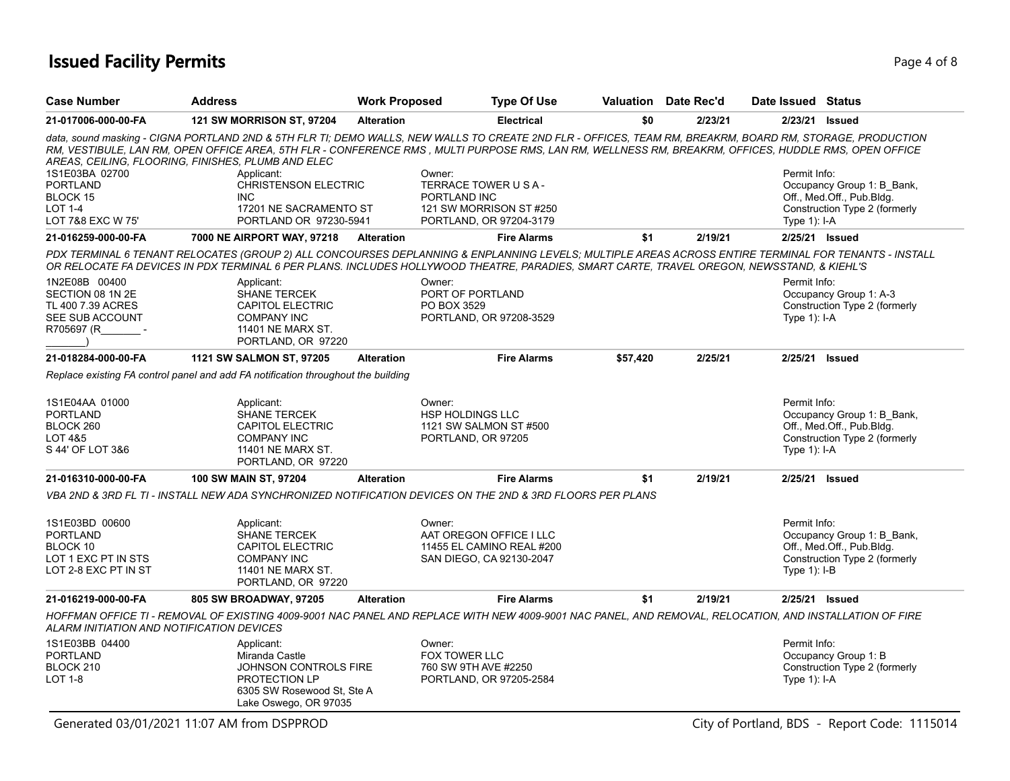# **Issued Facility Permits** Page 4 of 8

| <b>Case Number</b><br><b>Address</b>                                                         |                                                                                                                                                                                                                                                                                                                                                                                                                                                                                        | <b>Work Proposed</b> |                                                                                   | <b>Type Of Use</b>                                                               |          | Valuation Date Rec'd | Date Issued Status             |                                                                                          |
|----------------------------------------------------------------------------------------------|----------------------------------------------------------------------------------------------------------------------------------------------------------------------------------------------------------------------------------------------------------------------------------------------------------------------------------------------------------------------------------------------------------------------------------------------------------------------------------------|----------------------|-----------------------------------------------------------------------------------|----------------------------------------------------------------------------------|----------|----------------------|--------------------------------|------------------------------------------------------------------------------------------|
| 21-017006-000-00-FA                                                                          | <b>121 SW MORRISON ST, 97204</b>                                                                                                                                                                                                                                                                                                                                                                                                                                                       |                      |                                                                                   | <b>Electrical</b>                                                                | \$0      | 2/23/21              |                                | 2/23/21 Issued                                                                           |
| 1S1E03BA 02700<br><b>PORTLAND</b><br>BLOCK 15<br><b>LOT 1-4</b><br>LOT 7&8 EXC W 75'         | data, sound masking - CIGNA PORTLAND 2ND & 5TH FLR TI; DEMO WALLS, NEW WALLS TO CREATE 2ND FLR - OFFICES, TEAM RM, BREAKRM, BOARD RM, STORAGE, PRODUCTION<br>RM, VESTIBULE, LAN RM, OPEN OFFICE AREA, 5TH FLR - CONFERENCE RMS, MULTI PURPOSE RMS, LAN RM, WELLNESS RM, BREAKRM, OFFICES, HUDDLE RMS, OPEN OFFICE<br>AREAS, CEILING, FLOORING, FINISHES, PLUMB AND ELEC<br>Applicant:<br><b>CHRISTENSON ELECTRIC</b><br><b>INC</b><br>17201 NE SACRAMENTO ST<br>PORTLAND OR 97230-5941 |                      | Owner:<br>TERRACE TOWER U S A -<br>PORTLAND INC                                   | 121 SW MORRISON ST #250<br>PORTLAND, OR 97204-3179                               |          |                      | Permit Info:<br>Type 1): I-A   | Occupancy Group 1: B Bank,<br>Off., Med.Off., Pub.Bldg.<br>Construction Type 2 (formerly |
| 21-016259-000-00-FA                                                                          | 7000 NE AIRPORT WAY, 97218                                                                                                                                                                                                                                                                                                                                                                                                                                                             | <b>Alteration</b>    |                                                                                   | <b>Fire Alarms</b>                                                               | \$1      | 2/19/21              |                                | 2/25/21 Issued                                                                           |
|                                                                                              | PDX TERMINAL 6 TENANT RELOCATES (GROUP 2) ALL CONCOURSES DEPLANNING & ENPLANNING LEVELS: MULTIPLE AREAS ACROSS ENTIRE TERMINAL FOR TENANTS - INSTALL<br>OR RELOCATE FA DEVICES IN PDX TERMINAL 6 PER PLANS. INCLUDES HOLLYWOOD THEATRE, PARADIES, SMART CARTE, TRAVEL OREGON, NEWSSTAND, & KIEHL'S                                                                                                                                                                                     |                      |                                                                                   |                                                                                  |          |                      |                                |                                                                                          |
| 1N2E08B 00400<br>SECTION 08 1N 2E<br>TL 400 7.39 ACRES<br>SEE SUB ACCOUNT<br>R705697 (R      | Applicant:<br><b>SHANE TERCEK</b><br><b>CAPITOL ELECTRIC</b><br><b>COMPANY INC</b><br>11401 NE MARX ST.<br>PORTLAND, OR 97220                                                                                                                                                                                                                                                                                                                                                          |                      | Owner:<br>PORT OF PORTLAND<br>PO BOX 3529                                         | PORTLAND, OR 97208-3529                                                          |          |                      | Permit Info:<br>Type $1$ : I-A | Occupancy Group 1: A-3<br>Construction Type 2 (formerly                                  |
| 21-018284-000-00-FA                                                                          | 1121 SW SALMON ST, 97205                                                                                                                                                                                                                                                                                                                                                                                                                                                               | <b>Alteration</b>    |                                                                                   | <b>Fire Alarms</b>                                                               | \$57,420 | 2/25/21              | 2/25/21                        | Issued                                                                                   |
|                                                                                              | Replace existing FA control panel and add FA notification throughout the building                                                                                                                                                                                                                                                                                                                                                                                                      |                      |                                                                                   |                                                                                  |          |                      |                                |                                                                                          |
| 1S1E04AA 01000<br><b>PORTLAND</b><br>BLOCK 260<br>LOT 4&5<br>S 44' OF LOT 3&6                | Applicant:<br><b>SHANE TERCEK</b><br>CAPITOL ELECTRIC<br><b>COMPANY INC</b><br>11401 NE MARX ST.<br>PORTLAND, OR 97220                                                                                                                                                                                                                                                                                                                                                                 |                      | Owner:<br><b>HSP HOLDINGS LLC</b><br>1121 SW SALMON ST #500<br>PORTLAND, OR 97205 |                                                                                  |          |                      | Permit Info:<br>Type $1$ : I-A | Occupancy Group 1: B Bank,<br>Off., Med.Off., Pub.Bldg.<br>Construction Type 2 (formerly |
| 21-016310-000-00-FA                                                                          | 100 SW MAIN ST, 97204                                                                                                                                                                                                                                                                                                                                                                                                                                                                  | <b>Alteration</b>    |                                                                                   | <b>Fire Alarms</b>                                                               | \$1      | 2/19/21              |                                | 2/25/21 Issued                                                                           |
|                                                                                              | VBA 2ND & 3RD FL TI - INSTALL NEW ADA SYNCHRONIZED NOTIFICATION DEVICES ON THE 2ND & 3RD FLOORS PER PLANS                                                                                                                                                                                                                                                                                                                                                                              |                      |                                                                                   |                                                                                  |          |                      |                                |                                                                                          |
| 1S1E03BD 00600<br><b>PORTLAND</b><br>BLOCK 10<br>LOT 1 EXC PT IN STS<br>LOT 2-8 EXC PT IN ST | Applicant:<br>SHANE TERCEK<br>CAPITOL ELECTRIC<br><b>COMPANY INC</b><br>11401 NE MARX ST.<br>PORTLAND, OR 97220                                                                                                                                                                                                                                                                                                                                                                        |                      | Owner:                                                                            | AAT OREGON OFFICE I LLC<br>11455 EL CAMINO REAL #200<br>SAN DIEGO, CA 92130-2047 |          |                      | Permit Info:<br>Type 1): I-B   | Occupancy Group 1: B_Bank,<br>Off., Med.Off., Pub.Bldg.<br>Construction Type 2 (formerly |
| 21-016219-000-00-FA                                                                          | 805 SW BROADWAY, 97205                                                                                                                                                                                                                                                                                                                                                                                                                                                                 | <b>Alteration</b>    |                                                                                   | <b>Fire Alarms</b>                                                               | \$1      | 2/19/21              |                                | 2/25/21 Issued                                                                           |
| ALARM INITIATION AND NOTIFICATION DEVICES                                                    | HOFFMAN OFFICE TI - REMOVAL OF EXISTING 4009-9001 NAC PANEL AND REPLACE WITH NEW 4009-9001 NAC PANEL, AND REMOVAL, RELOCATION, AND INSTALLATION OF FIRE                                                                                                                                                                                                                                                                                                                                |                      |                                                                                   |                                                                                  |          |                      |                                |                                                                                          |
| 1S1E03BB 04400<br><b>PORTLAND</b><br>BLOCK 210<br><b>LOT 1-8</b>                             | Applicant:<br>Miranda Castle<br>JOHNSON CONTROLS FIRE<br>PROTECTION LP<br>6305 SW Rosewood St. Ste A<br>Lake Oswego, OR 97035                                                                                                                                                                                                                                                                                                                                                          |                      | Owner:<br>FOX TOWER LLC<br>760 SW 9TH AVE #2250                                   | PORTLAND, OR 97205-2584                                                          |          |                      | Permit Info:<br>Type 1): I-A   | Occupancy Group 1: B<br>Construction Type 2 (formerly                                    |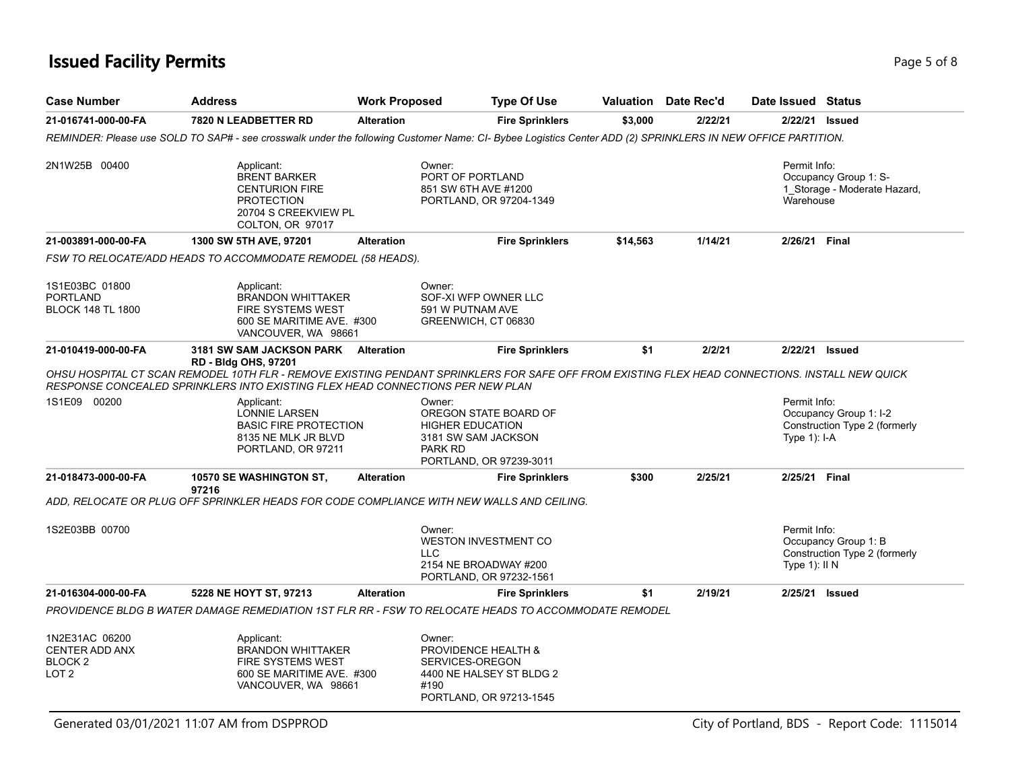# **Issued Facility Permits** Page 5 of 8

| <b>Case Number</b>                                                         | <b>Address</b>                                                                                                                                                                                                                                                   | <b>Work Proposed</b> |                                                                                                                         | <b>Type Of Use</b>     |          | <b>Valuation</b> Date Rec'd | Date Issued Status            |                                                         |
|----------------------------------------------------------------------------|------------------------------------------------------------------------------------------------------------------------------------------------------------------------------------------------------------------------------------------------------------------|----------------------|-------------------------------------------------------------------------------------------------------------------------|------------------------|----------|-----------------------------|-------------------------------|---------------------------------------------------------|
| 21-016741-000-00-FA                                                        | 7820 N LEADBETTER RD                                                                                                                                                                                                                                             | <b>Alteration</b>    |                                                                                                                         | <b>Fire Sprinklers</b> | \$3,000  | 2/22/21                     |                               | 2/22/21 <b>Issued</b>                                   |
|                                                                            | REMINDER: Please use SOLD TO SAP# - see crosswalk under the following Customer Name: CI- Bybee Logistics Center ADD (2) SPRINKLERS IN NEW OFFICE PARTITION.                                                                                                      |                      |                                                                                                                         |                        |          |                             |                               |                                                         |
| 2N1W25B 00400                                                              | Applicant:<br><b>BRENT BARKER</b><br><b>CENTURION FIRE</b><br><b>PROTECTION</b><br>20704 S CREEKVIEW PL<br>COLTON, OR 97017                                                                                                                                      |                      | Owner:<br>PORT OF PORTLAND<br>851 SW 6TH AVE #1200<br>PORTLAND, OR 97204-1349                                           |                        |          |                             | Permit Info:<br>Warehouse     | Occupancy Group 1: S-<br>1_Storage - Moderate Hazard,   |
| 21-003891-000-00-FA                                                        | 1300 SW 5TH AVE, 97201                                                                                                                                                                                                                                           | <b>Alteration</b>    |                                                                                                                         | <b>Fire Sprinklers</b> | \$14,563 | 1/14/21                     |                               | 2/26/21 Final                                           |
|                                                                            | FSW TO RELOCATE/ADD HEADS TO ACCOMMODATE REMODEL (58 HEADS).                                                                                                                                                                                                     |                      |                                                                                                                         |                        |          |                             |                               |                                                         |
| 1S1E03BC 01800<br><b>PORTLAND</b><br><b>BLOCK 148 TL 1800</b>              | Applicant:<br><b>BRANDON WHITTAKER</b><br>FIRE SYSTEMS WEST<br>600 SE MARITIME AVE. #300<br>VANCOUVER, WA 98661                                                                                                                                                  |                      | Owner:<br>SOF-XI WFP OWNER LLC<br>591 W PUTNAM AVE<br>GREENWICH, CT 06830                                               |                        |          |                             |                               |                                                         |
| 21-010419-000-00-FA                                                        | 3181 SW SAM JACKSON PARK Alteration                                                                                                                                                                                                                              |                      |                                                                                                                         | <b>Fire Sprinklers</b> | \$1      | 2/2/21                      |                               | 2/22/21 Issued                                          |
|                                                                            | <b>RD - Bldg OHS, 97201</b><br>OHSU HOSPITAL CT SCAN REMODEL 10TH FLR - REMOVE EXISTING PENDANT SPRINKLERS FOR SAFE OFF FROM EXISTING FLEX HEAD CONNECTIONS. INSTALL NEW QUICK<br>RESPONSE CONCEALED SPRINKLERS INTO EXISTING FLEX HEAD CONNECTIONS PER NEW PLAN |                      |                                                                                                                         |                        |          |                             |                               |                                                         |
| 1S1E09 00200                                                               | Applicant:<br>LONNIE LARSEN<br><b>BASIC FIRE PROTECTION</b><br>8135 NE MLK JR BLVD<br>PORTLAND, OR 97211                                                                                                                                                         |                      | Owner:<br>OREGON STATE BOARD OF<br><b>HIGHER EDUCATION</b><br>3181 SW SAM JACKSON<br>PARK RD<br>PORTLAND, OR 97239-3011 |                        |          |                             | Permit Info:<br>Type 1): I-A  | Occupancy Group 1: I-2<br>Construction Type 2 (formerly |
| 21-018473-000-00-FA                                                        | <b>10570 SE WASHINGTON ST.</b><br>97216                                                                                                                                                                                                                          | <b>Alteration</b>    |                                                                                                                         | <b>Fire Sprinklers</b> | \$300    | 2/25/21                     |                               | 2/25/21 Final                                           |
|                                                                            | ADD, RELOCATE OR PLUG OFF SPRINKLER HEADS FOR CODE COMPLIANCE WITH NEW WALLS AND CEILING.                                                                                                                                                                        |                      |                                                                                                                         |                        |          |                             |                               |                                                         |
| 1S2E03BB 00700                                                             |                                                                                                                                                                                                                                                                  |                      | Owner:<br><b>WESTON INVESTMENT CO</b><br><b>LLC</b><br>2154 NE BROADWAY #200<br>PORTLAND, OR 97232-1561                 |                        |          |                             | Permit Info:<br>Type 1): II N | Occupancy Group 1: B<br>Construction Type 2 (formerly   |
| 21-016304-000-00-FA                                                        | 5228 NE HOYT ST, 97213                                                                                                                                                                                                                                           | <b>Alteration</b>    |                                                                                                                         | <b>Fire Sprinklers</b> | \$1      | 2/19/21                     |                               | 2/25/21 Issued                                          |
|                                                                            | PROVIDENCE BLDG B WATER DAMAGE REMEDIATION 1ST FLR RR - FSW TO RELOCATE HEADS TO ACCOMMODATE REMODEL                                                                                                                                                             |                      |                                                                                                                         |                        |          |                             |                               |                                                         |
| 1N2E31AC 06200<br>CENTER ADD ANX<br>BLOCK <sub>2</sub><br>LOT <sub>2</sub> | Applicant:<br><b>BRANDON WHITTAKER</b><br><b>FIRE SYSTEMS WEST</b><br>600 SE MARITIME AVE. #300<br>VANCOUVER, WA 98661                                                                                                                                           |                      | Owner:<br>PROVIDENCE HEALTH &<br>SERVICES-OREGON<br>4400 NE HALSEY ST BLDG 2<br>#190<br>PORTLAND, OR 97213-1545         |                        |          |                             |                               |                                                         |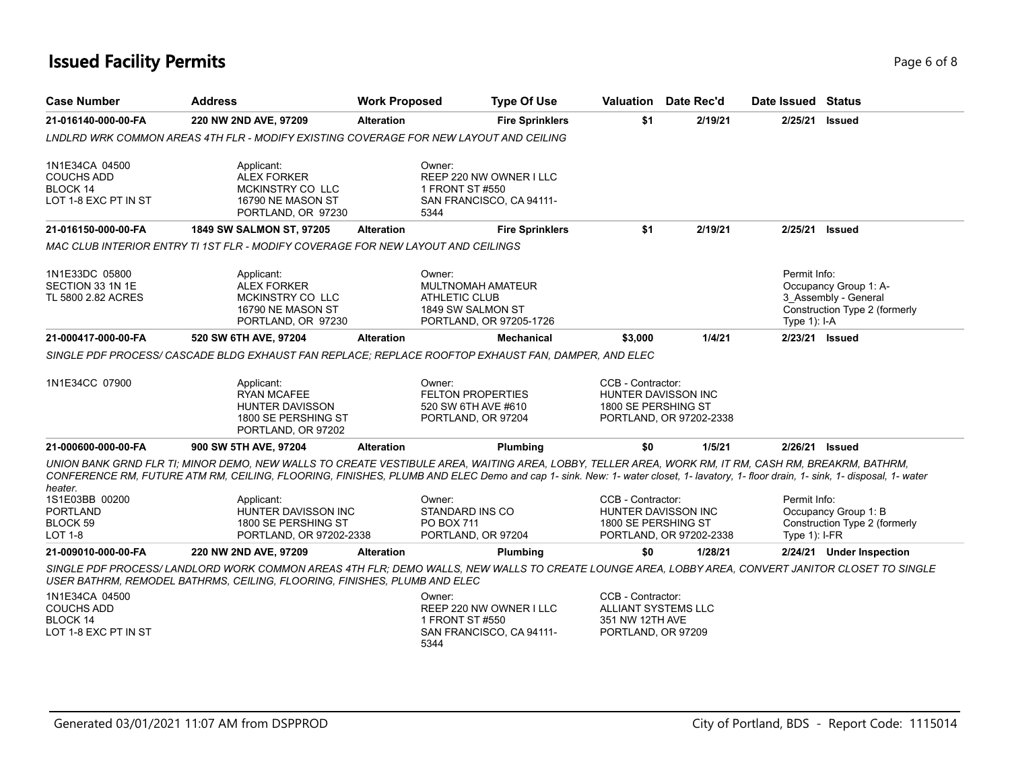# **Issued Facility Permits** Page 6 of 8

| <b>Case Number</b>                                                      | <b>Address</b>                                                                                                                                                                                                                                                                                                                                                                | <b>Work Proposed</b> |                                                                                 | <b>Type Of Use</b>                                  |                                                                                   | Valuation Date Rec'd                           | Date Issued Status             |                                                                                |
|-------------------------------------------------------------------------|-------------------------------------------------------------------------------------------------------------------------------------------------------------------------------------------------------------------------------------------------------------------------------------------------------------------------------------------------------------------------------|----------------------|---------------------------------------------------------------------------------|-----------------------------------------------------|-----------------------------------------------------------------------------------|------------------------------------------------|--------------------------------|--------------------------------------------------------------------------------|
| 21-016140-000-00-FA                                                     | 220 NW 2ND AVE, 97209                                                                                                                                                                                                                                                                                                                                                         | <b>Alteration</b>    |                                                                                 | <b>Fire Sprinklers</b>                              | \$1                                                                               | 2/19/21                                        | 2/25/21                        | Issued                                                                         |
|                                                                         | LNDLRD WRK COMMON AREAS 4TH FLR - MODIFY EXISTING COVERAGE FOR NEW LAYOUT AND CEILING                                                                                                                                                                                                                                                                                         |                      |                                                                                 |                                                     |                                                                                   |                                                |                                |                                                                                |
| 1N1E34CA 04500<br><b>COUCHS ADD</b><br>BLOCK 14<br>LOT 1-8 EXC PT IN ST | Applicant:<br><b>ALEX FORKER</b><br>MCKINSTRY CO LLC<br>16790 NE MASON ST<br>PORTLAND, OR 97230                                                                                                                                                                                                                                                                               |                      | Owner:<br>1 FRONT ST #550<br>5344                                               | REEP 220 NW OWNER I LLC<br>SAN FRANCISCO, CA 94111- |                                                                                   |                                                |                                |                                                                                |
| 21-016150-000-00-FA                                                     | 1849 SW SALMON ST, 97205                                                                                                                                                                                                                                                                                                                                                      | <b>Alteration</b>    |                                                                                 | <b>Fire Sprinklers</b>                              | \$1                                                                               | 2/19/21                                        | 2/25/21                        | <b>Issued</b>                                                                  |
|                                                                         | MAC CLUB INTERIOR ENTRY TI 1ST FLR - MODIFY COVERAGE FOR NEW LAYOUT AND CEILINGS                                                                                                                                                                                                                                                                                              |                      |                                                                                 |                                                     |                                                                                   |                                                |                                |                                                                                |
| 1N1E33DC 05800<br>SECTION 33 1N 1E<br>TL 5800 2.82 ACRES                | Applicant:<br><b>ALEX FORKER</b><br>MCKINSTRY CO LLC<br>16790 NE MASON ST<br>PORTLAND, OR 97230                                                                                                                                                                                                                                                                               |                      | Owner:<br><b>MULTNOMAH AMATEUR</b><br><b>ATHLETIC CLUB</b><br>1849 SW SALMON ST | PORTLAND, OR 97205-1726                             |                                                                                   |                                                | Permit Info:<br>Type $1$ : I-A | Occupancy Group 1: A-<br>3 Assembly - General<br>Construction Type 2 (formerly |
| 21-000417-000-00-FA                                                     | 520 SW 6TH AVE, 97204                                                                                                                                                                                                                                                                                                                                                         | <b>Alteration</b>    |                                                                                 | Mechanical                                          | \$3,000                                                                           | 1/4/21                                         |                                | 2/23/21 Issued                                                                 |
|                                                                         | SINGLE PDF PROCESS/ CASCADE BLDG EXHAUST FAN REPLACE; REPLACE ROOFTOP EXHAUST FAN, DAMPER, AND ELEC                                                                                                                                                                                                                                                                           |                      |                                                                                 |                                                     |                                                                                   |                                                |                                |                                                                                |
| 1N1E34CC 07900                                                          | Applicant:<br><b>RYAN MCAFEE</b><br><b>HUNTER DAVISSON</b><br>1800 SE PERSHING ST<br>PORTLAND, OR 97202                                                                                                                                                                                                                                                                       |                      | Owner:<br><b>FELTON PROPERTIES</b><br>520 SW 6TH AVE #610<br>PORTLAND, OR 97204 |                                                     | CCB - Contractor:<br>1800 SE PERSHING ST                                          | HUNTER DAVISSON INC<br>PORTLAND, OR 97202-2338 |                                |                                                                                |
| 21-000600-000-00-FA                                                     | 900 SW 5TH AVE, 97204                                                                                                                                                                                                                                                                                                                                                         | <b>Alteration</b>    |                                                                                 | Plumbing                                            | \$0                                                                               | 1/5/21                                         | 2/26/21                        | <b>Issued</b>                                                                  |
| heater.<br>1S1E03BB 00200<br><b>PORTLAND</b>                            | UNION BANK GRND FLR TI; MINOR DEMO, NEW WALLS TO CREATE VESTIBULE AREA, WAITING AREA, LOBBY, TELLER AREA, WORK RM, IT RM, CASH RM, BREAKRM, BATHRM,<br>CONFERENCE RM, FUTURE ATM RM, CEILING, FLOORING, FINISHES, PLUMB AND ELEC Demo and cap 1- sink. New: 1- water closet, 1- lavatory, 1- floor drain, 1- sink, 1- disposal, 1- water<br>Applicant:<br>HUNTER DAVISSON INC |                      | Owner:<br>STANDARD INS CO                                                       |                                                     | CCB - Contractor:                                                                 | HUNTER DAVISSON INC                            | Permit Info:                   | Occupancy Group 1: B                                                           |
| BLOCK <sub>59</sub><br><b>LOT 1-8</b>                                   | 1800 SE PERSHING ST<br>PORTLAND, OR 97202-2338                                                                                                                                                                                                                                                                                                                                |                      | <b>PO BOX 711</b><br>PORTLAND, OR 97204                                         |                                                     | 1800 SE PERSHING ST                                                               | PORTLAND, OR 97202-2338                        | Type $1$ ): I-FR               | Construction Type 2 (formerly                                                  |
| 21-009010-000-00-FA                                                     | 220 NW 2ND AVE, 97209                                                                                                                                                                                                                                                                                                                                                         | <b>Alteration</b>    |                                                                                 | Plumbing                                            | \$0                                                                               | 1/28/21                                        |                                | 2/24/21 Under Inspection                                                       |
|                                                                         | SINGLE PDF PROCESS/ LANDLORD WORK COMMON AREAS 4TH FLR; DEMO WALLS, NEW WALLS TO CREATE LOUNGE AREA, LOBBY AREA, CONVERT JANITOR CLOSET TO SINGLE<br>USER BATHRM, REMODEL BATHRMS, CEILING, FLOORING, FINISHES, PLUMB AND ELEC                                                                                                                                                |                      |                                                                                 |                                                     |                                                                                   |                                                |                                |                                                                                |
| 1N1E34CA 04500<br><b>COUCHS ADD</b><br>BLOCK 14<br>LOT 1-8 EXC PT IN ST |                                                                                                                                                                                                                                                                                                                                                                               |                      | Owner:<br>1 FRONT ST #550<br>5344                                               | REEP 220 NW OWNER I LLC<br>SAN FRANCISCO, CA 94111- | CCB - Contractor:<br>ALLIANT SYSTEMS LLC<br>351 NW 12TH AVE<br>PORTLAND, OR 97209 |                                                |                                |                                                                                |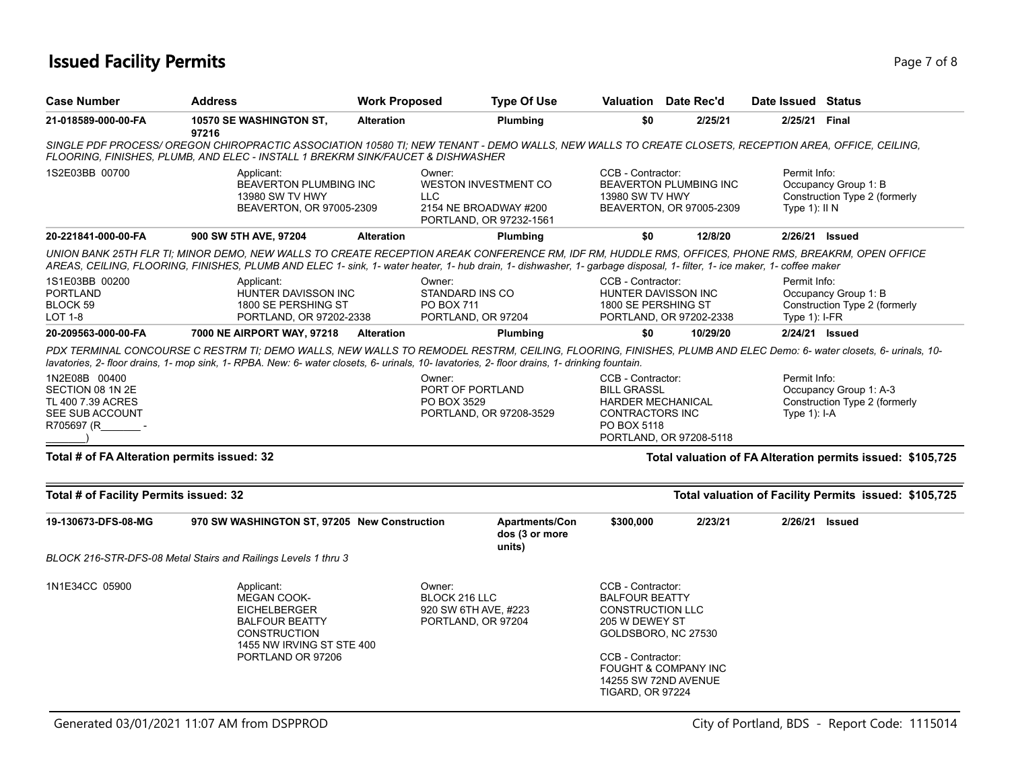# **Issued Facility Permits** Page 7 of 8

| <b>Case Number</b>                                                                      | <b>Address</b>                                                                                                                                                                                                                                                                                                                 | <b>Work Proposed</b> | <b>Type Of Use</b>                                                              | <b>Valuation</b> Date Rec'd                                                                                                                                                                                               |                                                           | Date Issued Status              |                                                            |
|-----------------------------------------------------------------------------------------|--------------------------------------------------------------------------------------------------------------------------------------------------------------------------------------------------------------------------------------------------------------------------------------------------------------------------------|----------------------|---------------------------------------------------------------------------------|---------------------------------------------------------------------------------------------------------------------------------------------------------------------------------------------------------------------------|-----------------------------------------------------------|---------------------------------|------------------------------------------------------------|
| 21-018589-000-00-FA                                                                     | 10570 SE WASHINGTON ST,<br>97216                                                                                                                                                                                                                                                                                               | <b>Alteration</b>    | Plumbing                                                                        | \$0                                                                                                                                                                                                                       | 2/25/21                                                   | 2/25/21 Final                   |                                                            |
|                                                                                         | SINGLE PDF PROCESS/ OREGON CHIROPRACTIC ASSOCIATION 10580 TI; NEW TENANT - DEMO WALLS, NEW WALLS TO CREATE CLOSETS, RECEPTION AREA, OFFICE, CEILING,<br>FLOORING, FINISHES, PLUMB, AND ELEC - INSTALL 1 BREKRM SINK/FAUCET & DISHWASHER                                                                                        |                      |                                                                                 |                                                                                                                                                                                                                           |                                                           |                                 |                                                            |
| 1S2E03BB 00700                                                                          | Applicant:<br>BEAVERTON PLUMBING INC<br>13980 SW TV HWY<br>BEAVERTON, OR 97005-2309                                                                                                                                                                                                                                            | Owner:<br><b>LLC</b> | <b>WESTON INVESTMENT CO</b><br>2154 NE BROADWAY #200<br>PORTLAND, OR 97232-1561 | CCB - Contractor:<br>13980 SW TV HWY                                                                                                                                                                                      | <b>BEAVERTON PLUMBING INC</b><br>BEAVERTON, OR 97005-2309 | Permit Info:<br>Type $1$ : II N | Occupancy Group 1: B<br>Construction Type 2 (formerly      |
| 20-221841-000-00-FA                                                                     | 900 SW 5TH AVE, 97204                                                                                                                                                                                                                                                                                                          | <b>Alteration</b>    | Plumbing                                                                        | \$0                                                                                                                                                                                                                       | 12/8/20                                                   | 2/26/21 Issued                  |                                                            |
|                                                                                         | UNION BANK 25TH FLR TI; MINOR DEMO, NEW WALLS TO CREATE RECEPTION AREAK CONFERENCE RM, IDF RM, HUDDLE RMS, OFFICES, PHONE RMS, BREAKRM, OPEN OFFICE<br>AREAS, CEILING, FLOORING, FINISHES, PLUMB AND ELEC 1- sink, 1- water heater, 1- hub drain, 1- dishwasher, 1- garbage disposal, 1- filter, 1- ice maker, 1- coffee maker |                      |                                                                                 |                                                                                                                                                                                                                           |                                                           |                                 |                                                            |
| 1S1E03BB 00200<br>PORTLAND<br>BLOCK 59<br>LOT 1-8                                       | Applicant:<br>HUNTER DAVISSON INC<br>1800 SE PERSHING ST<br>PORTLAND, OR 97202-2338                                                                                                                                                                                                                                            | Owner:               | STANDARD INS CO<br>PO BOX 711<br>PORTLAND, OR 97204                             | CCB - Contractor:<br>HUNTER DAVISSON INC<br>1800 SE PERSHING ST                                                                                                                                                           | PORTLAND, OR 97202-2338                                   | Permit Info:<br>Type 1): I-FR   | Occupancy Group 1: B<br>Construction Type 2 (formerly      |
| 20-209563-000-00-FA                                                                     | 7000 NE AIRPORT WAY, 97218                                                                                                                                                                                                                                                                                                     | <b>Alteration</b>    | <b>Plumbing</b>                                                                 | \$0                                                                                                                                                                                                                       | 10/29/20                                                  | 2/24/21 Issued                  |                                                            |
| 1N2E08B 00400<br>SECTION 08 1N 2E<br>TL 400 7.39 ACRES<br>SEE SUB ACCOUNT<br>R705697 (R | PDX TERMINAL CONCOURSE C RESTRM TI; DEMO WALLS, NEW WALLS TO REMODEL RESTRM, CEILING, FLOORING, FINISHES, PLUMB AND ELEC Demo: 6- water closets, 6- urinals, 10-<br>lavatories, 2-floor drains, 1-mop sink, 1-RPBA. New: 6-water closets, 6- urinals, 10-lavatories, 2-floor drains, 1- drinking fountain.                     | Owner:               | PORT OF PORTLAND<br>PO BOX 3529<br>PORTLAND, OR 97208-3529                      | CCB - Contractor:<br><b>BILL GRASSL</b><br><b>HARDER MECHANICAL</b><br><b>CONTRACTORS INC</b><br>PO BOX 5118                                                                                                              |                                                           | Permit Info:<br>Type $1$ : I-A  | Occupancy Group 1: A-3<br>Construction Type 2 (formerly    |
|                                                                                         |                                                                                                                                                                                                                                                                                                                                |                      |                                                                                 |                                                                                                                                                                                                                           | PORTLAND, OR 97208-5118                                   |                                 |                                                            |
| Total # of FA Alteration permits issued: 32                                             |                                                                                                                                                                                                                                                                                                                                |                      |                                                                                 |                                                                                                                                                                                                                           |                                                           |                                 | Total valuation of FA Alteration permits issued: \$105,725 |
| Total # of Facility Permits issued: 32                                                  |                                                                                                                                                                                                                                                                                                                                |                      |                                                                                 |                                                                                                                                                                                                                           |                                                           |                                 | Total valuation of Facility Permits issued: \$105,725      |
| 19-130673-DFS-08-MG                                                                     | 970 SW WASHINGTON ST, 97205 New Construction                                                                                                                                                                                                                                                                                   |                      | Apartments/Con<br>dos (3 or more<br>units)                                      | \$300,000                                                                                                                                                                                                                 | 2/23/21                                                   | 2/26/21 Issued                  |                                                            |
|                                                                                         | BLOCK 216-STR-DFS-08 Metal Stairs and Railings Levels 1 thru 3                                                                                                                                                                                                                                                                 |                      |                                                                                 |                                                                                                                                                                                                                           |                                                           |                                 |                                                            |
| 1N1E34CC 05900                                                                          | Owner:<br>Applicant:<br><b>MEGAN COOK-</b><br><b>EICHELBERGER</b><br><b>BALFOUR BEATTY</b><br><b>CONSTRUCTION</b><br>1455 NW IRVING ST STE 400<br>PORTLAND OR 97206                                                                                                                                                            |                      | BLOCK 216 LLC<br>920 SW 6TH AVE, #223<br>PORTLAND, OR 97204                     | CCB - Contractor:<br><b>BALFOUR BEATTY</b><br><b>CONSTRUCTION LLC</b><br>205 W DEWEY ST<br>GOLDSBORO, NC 27530<br>CCB - Contractor:<br><b>FOUGHT &amp; COMPANY INC</b><br>14255 SW 72ND AVENUE<br><b>TIGARD, OR 97224</b> |                                                           |                                 |                                                            |